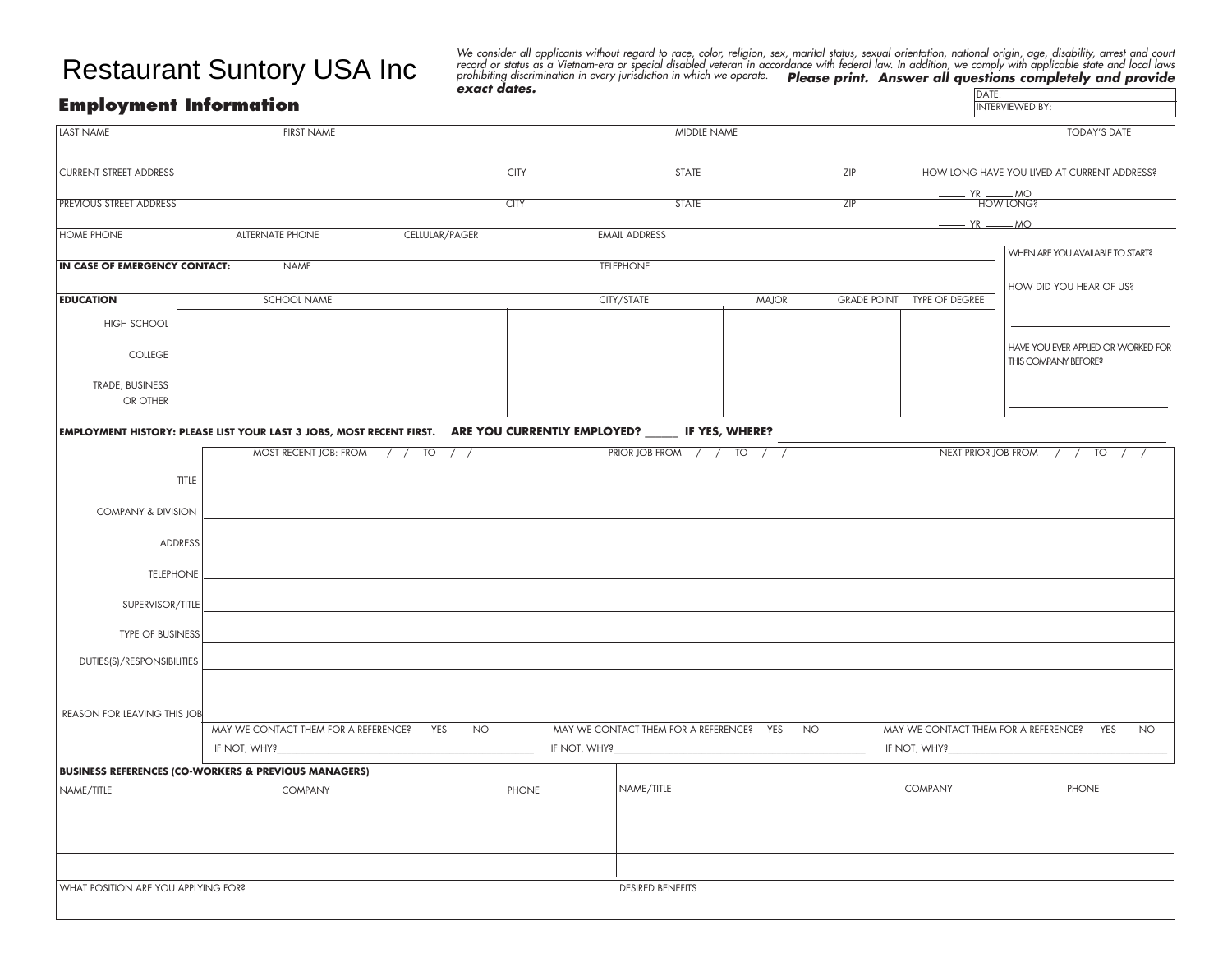## Restaurant Suntory USA Inc

We consider all applicants without regard to race, color, religion, sex, marital status, sexual orientation, national origin, age, disability, arrest and court<br>record or status as a Vietnam-era or special disabled veteran **DATE:**<br>INTERVIEWED BY:

## **Employment Information**

| LAST NAME                                                | <b>FIRST NAME</b>                                                                                                      |                     |                                                       | MIDDLE NAME               |              |                                             | <b>TODAY'S DATE</b>                                      |                                     |  |
|----------------------------------------------------------|------------------------------------------------------------------------------------------------------------------------|---------------------|-------------------------------------------------------|---------------------------|--------------|---------------------------------------------|----------------------------------------------------------|-------------------------------------|--|
| <b>CURRENT STREET ADDRESS</b>                            |                                                                                                                        | <b>STATE</b><br>ZIP |                                                       |                           |              | HOW LONG HAVE YOU LIVED AT CURRENT ADDRESS? |                                                          |                                     |  |
| <b>PREVIOUS STREET ADDRESS</b>                           |                                                                                                                        | <b>CITY</b>         | <b>STATE</b>                                          |                           |              | ZIP                                         | HOW LONG?                                                |                                     |  |
|                                                          |                                                                                                                        |                     |                                                       |                           |              |                                             | $- YR$ $- MO$                                            |                                     |  |
| <b>HOME PHONE</b>                                        | <b>ALTERNATE PHONE</b>                                                                                                 | CELLULAR/PAGER      |                                                       | <b>EMAIL ADDRESS</b>      |              |                                             |                                                          |                                     |  |
| IN CASE OF EMERGENCY CONTACT:                            | <b>NAME</b>                                                                                                            |                     |                                                       | <b>TELEPHONE</b>          |              |                                             |                                                          | WHEN ARE YOU AVAILABLE TO START?    |  |
|                                                          |                                                                                                                        |                     |                                                       |                           |              |                                             |                                                          |                                     |  |
| <b>EDUCATION</b>                                         | SCHOOL NAME                                                                                                            |                     |                                                       | CITY/STATE                | <b>MAJOR</b> |                                             | GRADE POINT TYPE OF DEGREE                               | HOW DID YOU HEAR OF US?             |  |
| <b>HIGH SCHOOL</b>                                       |                                                                                                                        |                     |                                                       |                           |              |                                             |                                                          |                                     |  |
|                                                          |                                                                                                                        |                     |                                                       |                           |              |                                             |                                                          | HAVE YOU EVER APPLIED OR WORKED FOR |  |
| COLLEGE                                                  |                                                                                                                        |                     |                                                       |                           |              |                                             |                                                          | THIS COMPANY BEFORE?                |  |
| TRADE, BUSINESS                                          |                                                                                                                        |                     |                                                       |                           |              |                                             |                                                          |                                     |  |
| OR OTHER                                                 |                                                                                                                        |                     |                                                       |                           |              |                                             |                                                          |                                     |  |
|                                                          | EMPLOYMENT HISTORY: PLEASE LIST YOUR LAST 3 JOBS, MOST RECENT FIRST. ARE YOU CURRENTLY EMPLOYED? ______ IF YES, WHERE? |                     |                                                       |                           |              |                                             |                                                          |                                     |  |
|                                                          | MOST RECENT JOB: FROM / / TO / /                                                                                       |                     |                                                       | PRIOR JOB FROM / / TO / / |              |                                             |                                                          | NEXT PRIOR JOB FROM / / TO / /      |  |
|                                                          |                                                                                                                        |                     |                                                       |                           |              |                                             |                                                          |                                     |  |
| TITLE                                                    |                                                                                                                        |                     |                                                       |                           |              |                                             |                                                          |                                     |  |
| COMPANY & DIVISION                                       |                                                                                                                        |                     |                                                       |                           |              |                                             |                                                          |                                     |  |
|                                                          |                                                                                                                        |                     |                                                       |                           |              |                                             |                                                          |                                     |  |
| ADDRESS                                                  |                                                                                                                        |                     |                                                       |                           |              |                                             |                                                          |                                     |  |
| <b>TELEPHONE</b>                                         |                                                                                                                        |                     |                                                       |                           |              |                                             |                                                          |                                     |  |
| SUPERVISOR/TITLE                                         |                                                                                                                        |                     |                                                       |                           |              |                                             |                                                          |                                     |  |
| TYPE OF BUSINESS                                         |                                                                                                                        |                     |                                                       |                           |              |                                             |                                                          |                                     |  |
| DUTIES(S)/RESPONSIBILITIES                               |                                                                                                                        |                     |                                                       |                           |              |                                             |                                                          |                                     |  |
|                                                          |                                                                                                                        |                     |                                                       |                           |              |                                             |                                                          |                                     |  |
| <b>REASON FOR LEAVING THIS JOB</b>                       |                                                                                                                        |                     |                                                       |                           |              |                                             |                                                          |                                     |  |
| MAY WE CONTACT THEM FOR A REFERENCE?<br>YES<br><b>NO</b> |                                                                                                                        |                     | MAY WE CONTACT THEM FOR A REFERENCE? YES<br><b>NO</b> |                           |              |                                             | MAY WE CONTACT THEM FOR A REFERENCE?<br>YES<br><b>NO</b> |                                     |  |
| IF NOT, WHY?                                             |                                                                                                                        |                     | IF NOT, WHY?                                          |                           |              |                                             | IF NOT, WHY?                                             |                                     |  |
|                                                          | <b>BUSINESS REFERENCES (CO-WORKERS &amp; PREVIOUS MANAGERS)</b>                                                        |                     |                                                       |                           |              |                                             |                                                          |                                     |  |
| NAME/TITLE<br>COMPANY<br>PHONE                           |                                                                                                                        |                     |                                                       | NAME/TITLE                |              |                                             | COMPANY<br>PHONE                                         |                                     |  |
|                                                          |                                                                                                                        |                     |                                                       |                           |              |                                             |                                                          |                                     |  |
|                                                          |                                                                                                                        |                     |                                                       |                           |              |                                             |                                                          |                                     |  |
|                                                          | $\sim$                                                                                                                 |                     |                                                       |                           |              |                                             |                                                          |                                     |  |
| WHAT POSITION ARE YOU APPLYING FOR?                      | <b>DESIRED BENEFITS</b>                                                                                                |                     |                                                       |                           |              |                                             |                                                          |                                     |  |